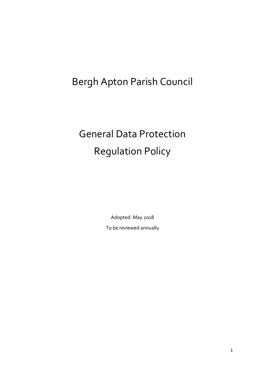# Bergh Apton Parish Council

# General Data Protection Regulation Policy

Adopted: May 2018 To be reviewed annually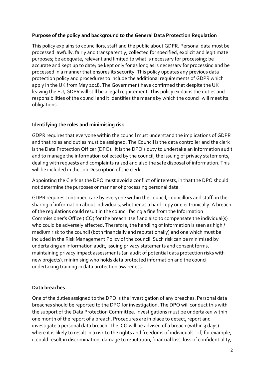# **Purpose of the policy and background to the General Data Protection Regulation**

This policy explains to councillors, staff and the public about GDPR. Personal data must be processed lawfully, fairly and transparently; collected for specified, explicit and legitimate purposes; be adequate, relevant and limited to what is necessary for processing; be accurate and kept up to date; be kept only for as long as is necessary for processing and be processed in a manner that ensures its security. This policy updates any previous data protection policy and procedures to include the additional requirements of GDPR which apply in the UK from May 2018. The Government have confirmed that despite the UK leaving the EU, GDPR will still be a legal requirement. This policy explains the duties and responsibilities of the council and it identifies the means by which the council will meet its obligations.

#### **Identifying the roles and minimising risk**

GDPR requires that everyone within the council must understand the implications of GDPR and that roles and duties must be assigned. The Council is the data controller and the clerk is the Data Protection Officer (DPO). It is the DPO's duty to undertake an information audit and to manage the information collected by the council, the issuing of privacy statements, dealing with requests and complaints raised and also the safe disposal of information. This will be included in the Job Description of the clerk .

Appointing the Clerk as the DPO must avoid a conflict of interests, in that the DPO should not determine the purposes or manner of processing personal data.

GDPR requires continued care by everyone within the council, councillors and staff, in the sharing of information about individuals, whether as a hard copy or electronically. A breach of the regulations could result in the council facing a fine from the Information Commissioner's Office (ICO) for the breach itself and also to compensate the individual(s) who could be adversely affected. Therefore, the handling of information is seen as high / medium risk to the council (both financially and reputationally) and one which must be included in the Risk Management Policy of the council. Such risk can be minimised by undertaking an information audit, issuing privacy statements and consent forms, maintaining privacy impact assessments (an audit of potential data protection risks with new projects), minimising who holds data protected information and the council undertaking training in data protection awareness.

# **Data breaches**

One of the duties assigned to the DPO is the investigation of any breaches. Personal data breaches should be reported to the DPO for investigation. The DPO will conduct this with the support of the Data Protection Committee. Investigations must be undertaken within one month of the report of a breach. Procedures are in place to detect, report and investigate a personal data breach. The ICO will be advised of a breach (within 3 days) where it is likely to result in a risk to the rights and freedoms of individuals - if, for example, it could result in discrimination, damage to reputation, financial loss, loss of confidentiality,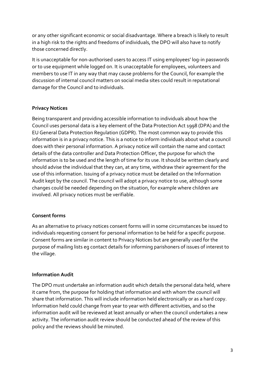or any other significant economic or social disadvantage. Where a breach is likely to result in a high risk to the rights and freedoms of individuals, the DPO will also have to notify those concerned directly.

It is unacceptable for non-authorised users to access IT using employees' log-in passwords or to use equipment while logged on. It is unacceptable for employees, volunteers and members to use IT in any way that may cause problems for the Council, for example the discussion of internal council matters on social media sites could result in reputational damage for the Council and to individuals.

# **Privacy Notices**

Being transparent and providing accessible information to individuals about how the Council uses personal data is a key element of the Data Protection Act 1998 (DPA) and the EU General Data Protection Regulation (GDPR). The most common way to provide this information is in a privacy notice. This is a notice to inform individuals about what a council does with their personal information. A privacy notice will contain the name and contact details of the data controller and Data Protection Officer, the purpose for which the information is to be used and the length of time for its use. It should be written clearly and should advise the individual that they can, at any time, withdraw their agreement for the use of this information. Issuing of a privacy notice must be detailed on the Information Audit kept by the council. The council will adopt a privacy notice to use, although some changes could be needed depending on the situation, for example where children are involved. All privacy notices must be verifiable.

# **Consent forms**

As an alternative to privacy notices consent forms will in some circumstances be issued to individuals requesting consent for personal information to be held for a specific purpose. Consent forms are similar in content to Privacy Notices but are generally used for the purpose of mailing lists eg contact details for informing parishoners of issues of interest to the village.

# **Information Audit**

The DPO must undertake an information audit which details the personal data held, where it came from, the purpose for holding that information and with whom the council will share that information. This will include information held electronically or as a hard copy. Information held could change from year to year with different activities, and so the information audit will be reviewed at least annually or when the council undertakes a new activity. The information audit review should be conducted ahead of the review of this policy and the reviews should be minuted.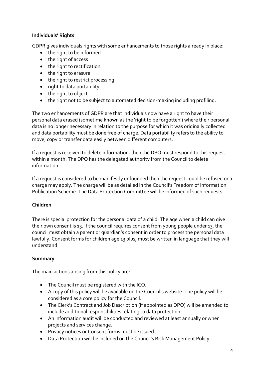# **Individuals' Rights**

GDPR gives individuals rights with some enhancements to those rights already in place:

- the right to be informed
- the right of access
- the right to rectification
- the right to erasure
- the right to restrict processing
- right to data portability
- the right to object
- the right not to be subject to automated decision-making including profiling.

The two enhancements of GDPR are that individuals now have a right to have their personal data erased (sometime known as the 'right to be forgotten') where their personal data is no longer necessary in relation to the purpose for which it was originally collected and data portability must be done free of charge. Data portability refers to the ability to move, copy or transfer data easily between different computers.

If a request is received to delete information, then the DPO must respond to this request within a month. The DPO has the delegated authority from the Council to delete information.

If a request is considered to be manifestly unfounded then the request could be refused or a charge may apply. The charge will be as detailed in the Council's Freedom of Information Publication Scheme. The Data Protection Committee will be informed of such requests.

# **Children**

There is special protection for the personal data of a child. The age when a child can give their own consent is 13. If the council requires consent from young people under 13, the council must obtain a parent or guardian's consent in order to process the personal data lawfully. Consent forms for children age 13 plus, must be written in language that they will understand.

# **Summary**

The main actions arising from this policy are:

- The Council must be registered with the ICO.
- A copy of this policy will be available on the Council's website. The policy will be considered as a core policy for the Council.
- The Clerk's Contract and Job Description (if appointed as DPO) will be amended to include additional responsibilities relating to data protection.
- An information audit will be conducted and reviewed at least annually or when projects and services change.
- Privacy notices or Consent forms must be issued.
- Data Protection will be included on the Council's Risk Management Policy.